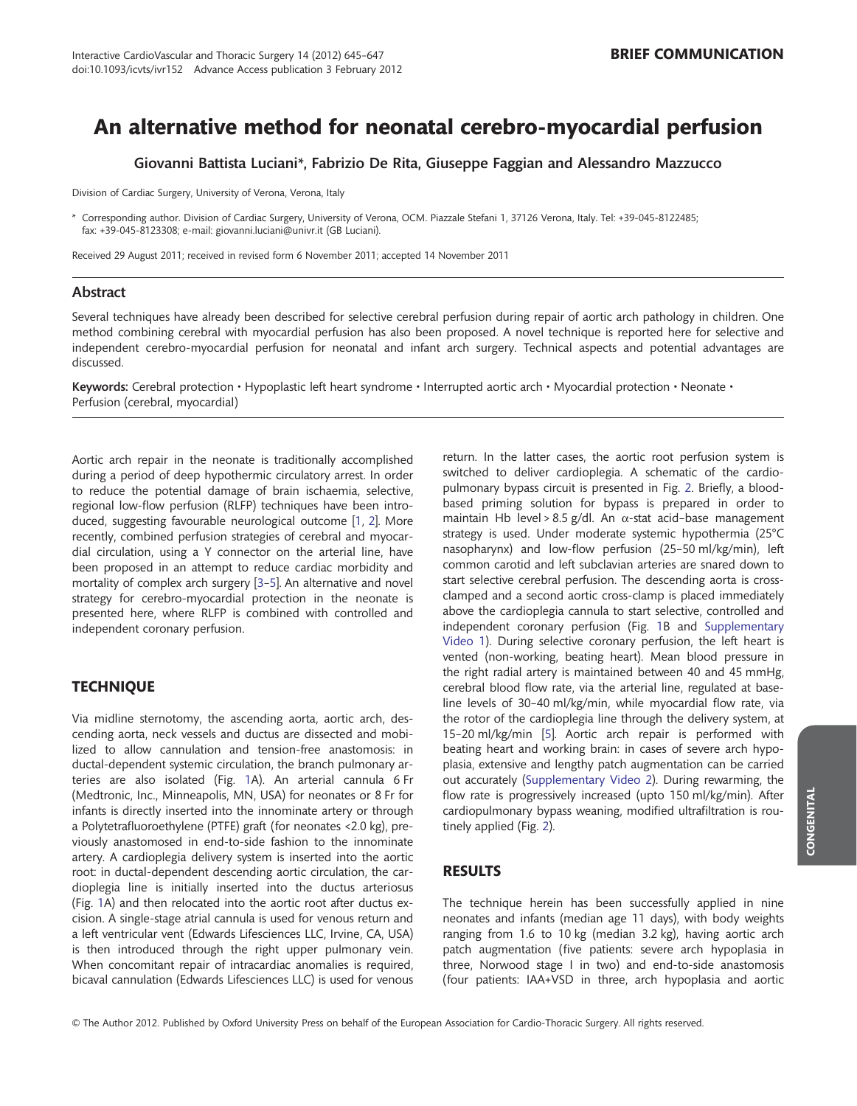# An alternative method for neonatal cerebro-myocardial perfusion

Giovanni Battista Luciani\*, Fabrizio De Rita, Giuseppe Faggian and Alessandro Mazzucco

Division of Cardiac Surgery, University of Verona, Verona, Italy

\* Corresponding author. Division of Cardiac Surgery, University of Verona, OCM. Piazzale Stefani 1, 37126 Verona, Italy. Tel: +39-045-8122485; fax: +39-045-8123308; e-mail: giovanni.luciani@univr.it (GB Luciani).

Received 29 August 2011; received in revised form 6 November 2011; accepted 14 November 2011

#### Abstract

Several techniques have already been described for selective cerebral perfusion during repair of aortic arch pathology in children. One method combining cerebral with myocardial perfusion has also been proposed. A novel technique is reported here for selective and independent cerebro-myocardial perfusion for neonatal and infant arch surgery. Technical aspects and potential advantages are discussed.

Keywords: Cerebral protection • Hypoplastic left heart syndrome • Interrupted aortic arch • Myocardial protection • Neonate • Perfusion (cerebral, myocardial)

Aortic arch repair in the neonate is traditionally accomplished during a period of deep hypothermic circulatory arrest. In order to reduce the potential damage of brain ischaemia, selective, regional low-flow perfusion (RLFP) techniques have been introduced, suggesting favourable neurological outcome [[1,](#page-2-0) [2](#page-2-0)]. More recently, combined perfusion strategies of cerebral and myocardial circulation, using a Y connector on the arterial line, have been proposed in an attempt to reduce cardiac morbidity and mortality of complex arch surgery [[3](#page-2-0)–[5](#page-2-0)]. An alternative and novel strategy for cerebro-myocardial protection in the neonate is presented here, where RLFP is combined with controlled and independent coronary perfusion.

# **TECHNIQUE**

Via midline sternotomy, the ascending aorta, aortic arch, descending aorta, neck vessels and ductus are dissected and mobilized to allow cannulation and tension-free anastomosis: in ductal-dependent systemic circulation, the branch pulmonary arteries are also isolated (Fig. [1A](#page-1-0)). An arterial cannula 6 Fr (Medtronic, Inc., Minneapolis, MN, USA) for neonates or 8 Fr for infants is directly inserted into the innominate artery or through a Polytetrafluoroethylene (PTFE) graft (for neonates <2.0 kg), previously anastomosed in end-to-side fashion to the innominate artery. A cardioplegia delivery system is inserted into the aortic root: in ductal-dependent descending aortic circulation, the cardioplegia line is initially inserted into the ductus arteriosus (Fig. [1](#page-1-0)A) and then relocated into the aortic root after ductus excision. A single-stage atrial cannula is used for venous return and a left ventricular vent (Edwards Lifesciences LLC, Irvine, CA, USA) is then introduced through the right upper pulmonary vein. When concomitant repair of intracardiac anomalies is required, bicaval cannulation (Edwards Lifesciences LLC) is used for venous return. In the latter cases, the aortic root perfusion system is switched to deliver cardioplegia. A schematic of the cardiopulmonary bypass circuit is presented in Fig. [2](#page-1-0). Briefly, a bloodbased priming solution for bypass is prepared in order to maintain Hb level > 8.5 g/dl. An  $\alpha$ -stat acid-base management strategy is used. Under moderate systemic hypothermia (25°C nasopharynx) and low-flow perfusion (25–50 ml/kg/min), left common carotid and left subclavian arteries are snared down to start selective cerebral perfusion. The descending aorta is crossclamped and a second aortic cross-clamp is placed immediately above the cardioplegia cannula to start selective, controlled and independent coronary perfusion (Fig. [1](#page-1-0)B and [Supplementary](#page-2-0) [Video 1](#page-2-0)). During selective coronary perfusion, the left heart is vented (non-working, beating heart). Mean blood pressure in the right radial artery is maintained between 40 and 45 mmHg, cerebral blood flow rate, via the arterial line, regulated at baseline levels of 30–40 ml/kg/min, while myocardial flow rate, via the rotor of the cardioplegia line through the delivery system, at 15–20 ml/kg/min [[5](#page-2-0)]. Aortic arch repair is performed with beating heart and working brain: in cases of severe arch hypoplasia, extensive and lengthy patch augmentation can be carried out accurately ([Supplementary Video 2](#page-2-0)). During rewarming, the flow rate is progressively increased (upto 150 ml/kg/min). After cardiopulmonary bypass weaning, modified ultrafiltration is routinely applied (Fig. [2](#page-1-0)).

# RESULTS

The technique herein has been successfully applied in nine neonates and infants (median age 11 days), with body weights ranging from 1.6 to 10 kg (median 3.2 kg), having aortic arch patch augmentation (five patients: severe arch hypoplasia in three, Norwood stage I in two) and end-to-side anastomosis (four patients: IAA+VSD in three, arch hypoplasia and aortic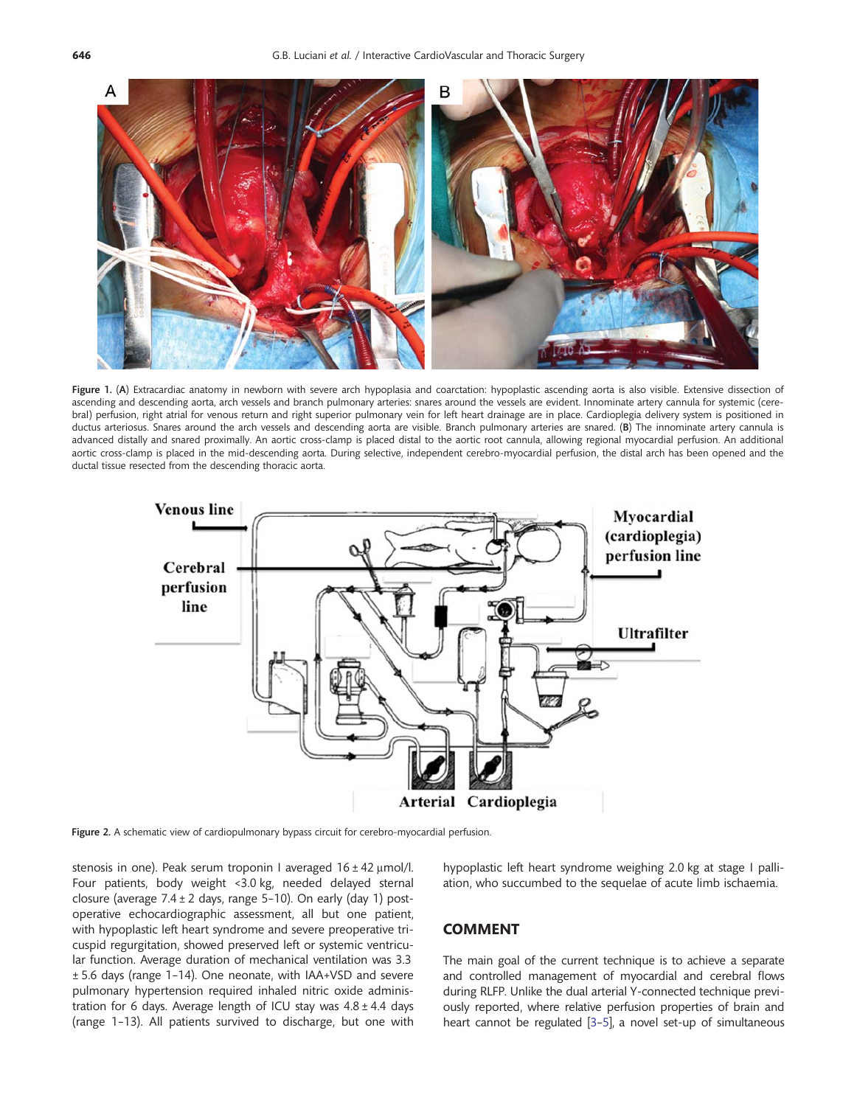<span id="page-1-0"></span>

Figure 1. (A) Extracardiac anatomy in newborn with severe arch hypoplasia and coarctation: hypoplastic ascending aorta is also visible. Extensive dissection of ascending and descending aorta, arch vessels and branch pulmonary arteries: snares around the vessels are evident. Innominate artery cannula for systemic (cerebral) perfusion, right atrial for venous return and right superior pulmonary vein for left heart drainage are in place. Cardioplegia delivery system is positioned in ductus arteriosus. Snares around the arch vessels and descending aorta are visible. Branch pulmonary arteries are snared. (B) The innominate artery cannula is advanced distally and snared proximally. An aortic cross-clamp is placed distal to the aortic root cannula, allowing regional myocardial perfusion. An additional aortic cross-clamp is placed in the mid-descending aorta. During selective, independent cerebro-myocardial perfusion, the distal arch has been opened and the ductal tissue resected from the descending thoracic aorta.



Figure 2. A schematic view of cardiopulmonary bypass circuit for cerebro-myocardial perfusion.

stenosis in one). Peak serum troponin I averaged 16 ± 42 μmol/l. Four patients, body weight <3.0 kg, needed delayed sternal closure (average  $7.4 \pm 2$  days, range 5-10). On early (day 1) postoperative echocardiographic assessment, all but one patient, with hypoplastic left heart syndrome and severe preoperative tricuspid regurgitation, showed preserved left or systemic ventricular function. Average duration of mechanical ventilation was 3.3 ± 5.6 days (range 1–14). One neonate, with IAA+VSD and severe pulmonary hypertension required inhaled nitric oxide administration for 6 days. Average length of ICU stay was  $4.8 \pm 4.4$  days (range 1–13). All patients survived to discharge, but one with

#### hypoplastic left heart syndrome weighing 2.0 kg at stage I palliation, who succumbed to the sequelae of acute limb ischaemia.

### COMMENT

The main goal of the current technique is to achieve a separate and controlled management of myocardial and cerebral flows during RLFP. Unlike the dual arterial Y-connected technique previously reported, where relative perfusion properties of brain and heart cannot be regulated [\[3](#page-2-0)–[5](#page-2-0)], a novel set-up of simultaneous